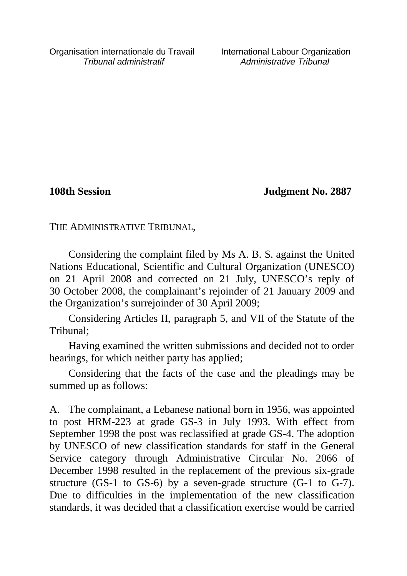**108th Session Judgment No. 2887**

THE ADMINISTRATIVE TRIBUNAL,

Considering the complaint filed by Ms A. B. S. against the United Nations Educational, Scientific and Cultural Organization (UNESCO) on 21 April 2008 and corrected on 21 July, UNESCO's reply of 30 October 2008, the complainant's rejoinder of 21 January 2009 and the Organization's surrejoinder of 30 April 2009;

Considering Articles II, paragraph 5, and VII of the Statute of the Tribunal;

Having examined the written submissions and decided not to order hearings, for which neither party has applied;

Considering that the facts of the case and the pleadings may be summed up as follows:

A. The complainant, a Lebanese national born in 1956, was appointed to post HRM-223 at grade GS-3 in July 1993. With effect from September 1998 the post was reclassified at grade GS-4. The adoption by UNESCO of new classification standards for staff in the General Service category through Administrative Circular No. 2066 of December 1998 resulted in the replacement of the previous six-grade structure (GS-1 to GS-6) by a seven-grade structure (G-1 to G-7). Due to difficulties in the implementation of the new classification standards, it was decided that a classification exercise would be carried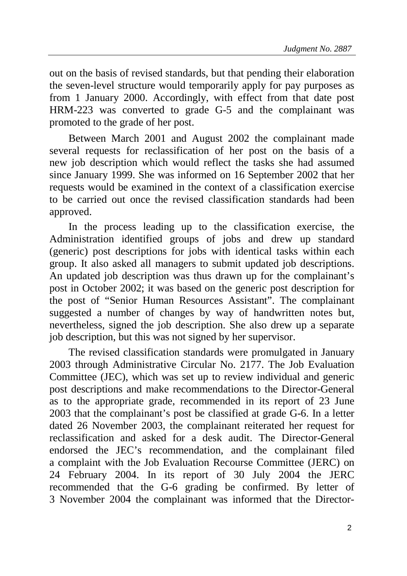out on the basis of revised standards, but that pending their elaboration the seven-level structure would temporarily apply for pay purposes as from 1 January 2000. Accordingly, with effect from that date post HRM-223 was converted to grade G-5 and the complainant was promoted to the grade of her post.

Between March 2001 and August 2002 the complainant made several requests for reclassification of her post on the basis of a new job description which would reflect the tasks she had assumed since January 1999. She was informed on 16 September 2002 that her requests would be examined in the context of a classification exercise to be carried out once the revised classification standards had been approved.

In the process leading up to the classification exercise, the Administration identified groups of jobs and drew up standard (generic) post descriptions for jobs with identical tasks within each group. It also asked all managers to submit updated job descriptions. An updated job description was thus drawn up for the complainant's post in October 2002; it was based on the generic post description for the post of "Senior Human Resources Assistant". The complainant suggested a number of changes by way of handwritten notes but, nevertheless, signed the job description. She also drew up a separate job description, but this was not signed by her supervisor.

The revised classification standards were promulgated in January 2003 through Administrative Circular No. 2177. The Job Evaluation Committee (JEC), which was set up to review individual and generic post descriptions and make recommendations to the Director-General as to the appropriate grade, recommended in its report of 23 June 2003 that the complainant's post be classified at grade G-6. In a letter dated 26 November 2003, the complainant reiterated her request for reclassification and asked for a desk audit. The Director-General endorsed the JEC's recommendation, and the complainant filed a complaint with the Job Evaluation Recourse Committee (JERC) on 24 February 2004. In its report of 30 July 2004 the JERC recommended that the G-6 grading be confirmed. By letter of 3 November 2004 the complainant was informed that the Director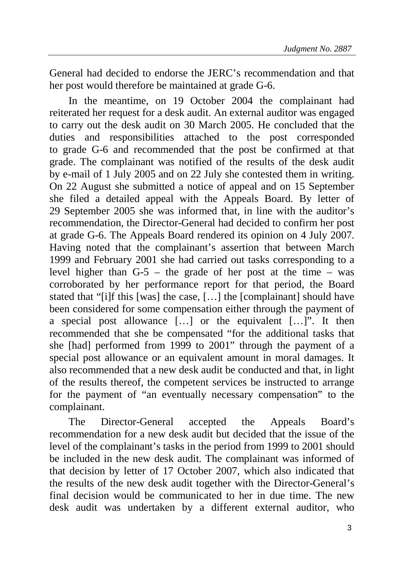General had decided to endorse the JERC's recommendation and that her post would therefore be maintained at grade G-6.

In the meantime, on 19 October 2004 the complainant had reiterated her request for a desk audit. An external auditor was engaged to carry out the desk audit on 30 March 2005. He concluded that the duties and responsibilities attached to the post corresponded to grade G-6 and recommended that the post be confirmed at that grade. The complainant was notified of the results of the desk audit by e-mail of 1 July 2005 and on 22 July she contested them in writing. On 22 August she submitted a notice of appeal and on 15 September she filed a detailed appeal with the Appeals Board. By letter of 29 September 2005 she was informed that, in line with the auditor's recommendation, the Director-General had decided to confirm her post at grade G-6. The Appeals Board rendered its opinion on 4 July 2007. Having noted that the complainant's assertion that between March 1999 and February 2001 she had carried out tasks corresponding to a level higher than G-5 – the grade of her post at the time – was corroborated by her performance report for that period, the Board stated that "[i]f this [was] the case, […] the [complainant] should have been considered for some compensation either through the payment of a special post allowance […] or the equivalent […]". It then recommended that she be compensated "for the additional tasks that she [had] performed from 1999 to 2001" through the payment of a special post allowance or an equivalent amount in moral damages. It also recommended that a new desk audit be conducted and that, in light of the results thereof, the competent services be instructed to arrange for the payment of "an eventually necessary compensation" to the complainant.

The Director-General accepted the Appeals Board's recommendation for a new desk audit but decided that the issue of the level of the complainant's tasks in the period from 1999 to 2001 should be included in the new desk audit. The complainant was informed of that decision by letter of 17 October 2007, which also indicated that the results of the new desk audit together with the Director-General's final decision would be communicated to her in due time. The new desk audit was undertaken by a different external auditor, who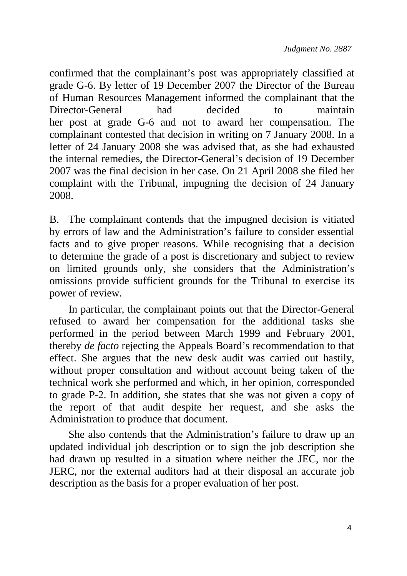confirmed that the complainant's post was appropriately classified at grade G-6. By letter of 19 December 2007 the Director of the Bureau of Human Resources Management informed the complainant that the Director-General had decided to maintain her post at grade G-6 and not to award her compensation. The complainant contested that decision in writing on 7 January 2008. In a letter of 24 January 2008 she was advised that, as she had exhausted the internal remedies, the Director-General's decision of 19 December 2007 was the final decision in her case. On 21 April 2008 she filed her complaint with the Tribunal, impugning the decision of 24 January 2008.

B. The complainant contends that the impugned decision is vitiated by errors of law and the Administration's failure to consider essential facts and to give proper reasons. While recognising that a decision to determine the grade of a post is discretionary and subject to review on limited grounds only, she considers that the Administration's omissions provide sufficient grounds for the Tribunal to exercise its power of review.

In particular, the complainant points out that the Director-General refused to award her compensation for the additional tasks she performed in the period between March 1999 and February 2001, thereby *de facto* rejecting the Appeals Board's recommendation to that effect. She argues that the new desk audit was carried out hastily, without proper consultation and without account being taken of the technical work she performed and which, in her opinion, corresponded to grade P-2. In addition, she states that she was not given a copy of the report of that audit despite her request, and she asks the Administration to produce that document.

She also contends that the Administration's failure to draw up an updated individual job description or to sign the job description she had drawn up resulted in a situation where neither the JEC, nor the JERC, nor the external auditors had at their disposal an accurate job description as the basis for a proper evaluation of her post.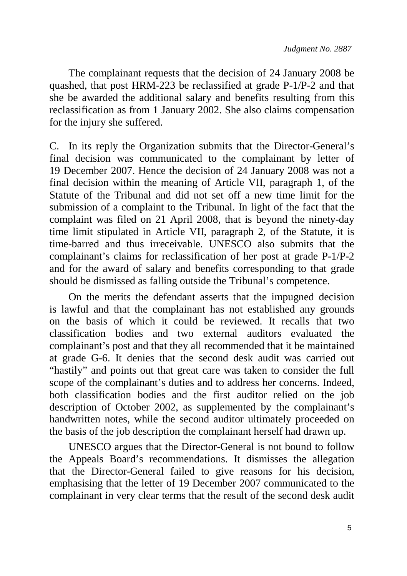The complainant requests that the decision of 24 January 2008 be quashed, that post HRM-223 be reclassified at grade P-1/P-2 and that she be awarded the additional salary and benefits resulting from this reclassification as from 1 January 2002. She also claims compensation for the injury she suffered.

C. In its reply the Organization submits that the Director-General's final decision was communicated to the complainant by letter of 19 December 2007. Hence the decision of 24 January 2008 was not a final decision within the meaning of Article VII, paragraph 1, of the Statute of the Tribunal and did not set off a new time limit for the submission of a complaint to the Tribunal. In light of the fact that the complaint was filed on 21 April 2008, that is beyond the ninety-day time limit stipulated in Article VII, paragraph 2, of the Statute, it is time-barred and thus irreceivable. UNESCO also submits that the complainant's claims for reclassification of her post at grade P-1/P-2 and for the award of salary and benefits corresponding to that grade should be dismissed as falling outside the Tribunal's competence.

On the merits the defendant asserts that the impugned decision is lawful and that the complainant has not established any grounds on the basis of which it could be reviewed. It recalls that two classification bodies and two external auditors evaluated the complainant's post and that they all recommended that it be maintained at grade G-6. It denies that the second desk audit was carried out "hastily" and points out that great care was taken to consider the full scope of the complainant's duties and to address her concerns. Indeed, both classification bodies and the first auditor relied on the job description of October 2002, as supplemented by the complainant's handwritten notes, while the second auditor ultimately proceeded on the basis of the job description the complainant herself had drawn up.

UNESCO argues that the Director-General is not bound to follow the Appeals Board's recommendations. It dismisses the allegation that the Director-General failed to give reasons for his decision, emphasising that the letter of 19 December 2007 communicated to the complainant in very clear terms that the result of the second desk audit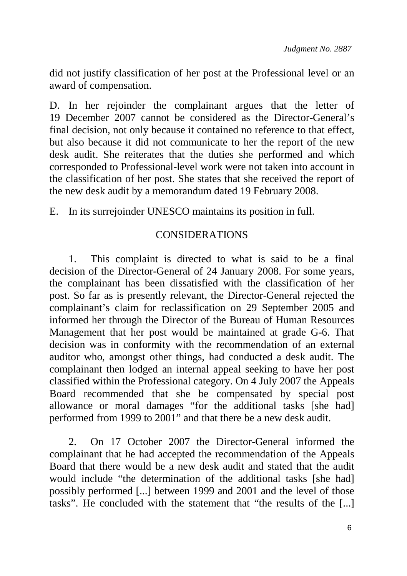did not justify classification of her post at the Professional level or an award of compensation.

D. In her rejoinder the complainant argues that the letter of 19 December 2007 cannot be considered as the Director-General's final decision, not only because it contained no reference to that effect, but also because it did not communicate to her the report of the new desk audit. She reiterates that the duties she performed and which corresponded to Professional-level work were not taken into account in the classification of her post. She states that she received the report of the new desk audit by a memorandum dated 19 February 2008.

E. In its surrejoinder UNESCO maintains its position in full.

## CONSIDERATIONS

1. This complaint is directed to what is said to be a final decision of the Director-General of 24 January 2008. For some years, the complainant has been dissatisfied with the classification of her post. So far as is presently relevant, the Director-General rejected the complainant's claim for reclassification on 29 September 2005 and informed her through the Director of the Bureau of Human Resources Management that her post would be maintained at grade G-6. That decision was in conformity with the recommendation of an external auditor who, amongst other things, had conducted a desk audit. The complainant then lodged an internal appeal seeking to have her post classified within the Professional category. On 4 July 2007 the Appeals Board recommended that she be compensated by special post allowance or moral damages "for the additional tasks [she had] performed from 1999 to 2001" and that there be a new desk audit.

2. On 17 October 2007 the Director-General informed the complainant that he had accepted the recommendation of the Appeals Board that there would be a new desk audit and stated that the audit would include "the determination of the additional tasks [she had] possibly performed [...] between 1999 and 2001 and the level of those tasks". He concluded with the statement that "the results of the [...]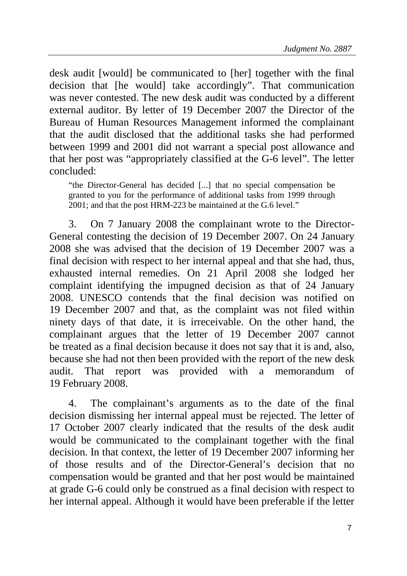desk audit [would] be communicated to [her] together with the final decision that [he would] take accordingly". That communication was never contested. The new desk audit was conducted by a different external auditor. By letter of 19 December 2007 the Director of the Bureau of Human Resources Management informed the complainant that the audit disclosed that the additional tasks she had performed between 1999 and 2001 did not warrant a special post allowance and that her post was "appropriately classified at the G-6 level". The letter concluded:

"the Director-General has decided [...] that no special compensation be granted to you for the performance of additional tasks from 1999 through 2001; and that the post HRM-223 be maintained at the G.6 level."

3. On 7 January 2008 the complainant wrote to the Director-General contesting the decision of 19 December 2007. On 24 January 2008 she was advised that the decision of 19 December 2007 was a final decision with respect to her internal appeal and that she had, thus, exhausted internal remedies. On 21 April 2008 she lodged her complaint identifying the impugned decision as that of 24 January 2008. UNESCO contends that the final decision was notified on 19 December 2007 and that, as the complaint was not filed within ninety days of that date, it is irreceivable. On the other hand, the complainant argues that the letter of 19 December 2007 cannot be treated as a final decision because it does not say that it is and, also, because she had not then been provided with the report of the new desk audit. That report was provided with a memorandum of 19 February 2008.

4. The complainant's arguments as to the date of the final decision dismissing her internal appeal must be rejected. The letter of 17 October 2007 clearly indicated that the results of the desk audit would be communicated to the complainant together with the final decision. In that context, the letter of 19 December 2007 informing her of those results and of the Director-General's decision that no compensation would be granted and that her post would be maintained at grade G-6 could only be construed as a final decision with respect to her internal appeal. Although it would have been preferable if the letter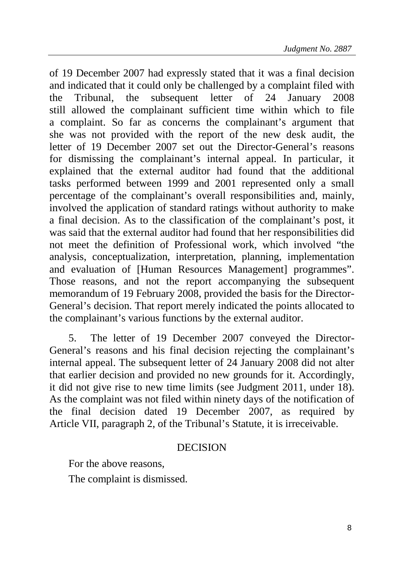of 19 December 2007 had expressly stated that it was a final decision and indicated that it could only be challenged by a complaint filed with the Tribunal, the subsequent letter of 24 January 2008 still allowed the complainant sufficient time within which to file a complaint. So far as concerns the complainant's argument that she was not provided with the report of the new desk audit, the letter of 19 December 2007 set out the Director-General's reasons for dismissing the complainant's internal appeal. In particular, it explained that the external auditor had found that the additional tasks performed between 1999 and 2001 represented only a small percentage of the complainant's overall responsibilities and, mainly, involved the application of standard ratings without authority to make a final decision. As to the classification of the complainant's post, it was said that the external auditor had found that her responsibilities did not meet the definition of Professional work, which involved "the analysis, conceptualization, interpretation, planning, implementation and evaluation of [Human Resources Management] programmes". Those reasons, and not the report accompanying the subsequent memorandum of 19 February 2008, provided the basis for the Director-General's decision. That report merely indicated the points allocated to the complainant's various functions by the external auditor.

5. The letter of 19 December 2007 conveyed the Director-General's reasons and his final decision rejecting the complainant's internal appeal. The subsequent letter of 24 January 2008 did not alter that earlier decision and provided no new grounds for it. Accordingly, it did not give rise to new time limits (see Judgment 2011, under 18). As the complaint was not filed within ninety days of the notification of the final decision dated 19 December 2007, as required by Article VII, paragraph 2, of the Tribunal's Statute, it is irreceivable.

## DECISION

For the above reasons,

The complaint is dismissed.